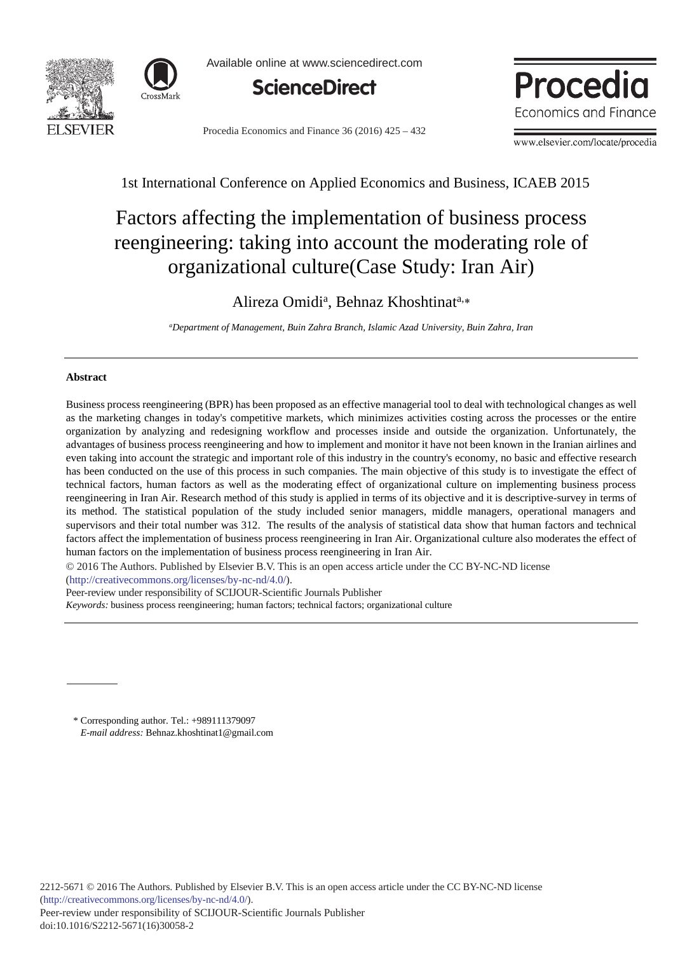



Available online at www.sciencedirect.com



Procedia Economics and Finance 36 (2016)  $425 - 432$ 



www.elsevier.com/locate/procedia

1st International Conference on Applied Economics and Business, ICAEB 2015

# Factors affecting the implementation of business process reengineering: taking into account the moderating role of organizational culture(Case Study: Iran Air)

# Alireza Omidi<sup>a</sup>, Behnaz Khoshtinat<sup>a,\*</sup>

*a Department of Management, Buin Zahra Branch, Islamic Azad University, Buin Zahra, Iran*

# **Abstract**

Business process reengineering (BPR) has been proposed as an effective managerial tool to deal with technological changes as well as the marketing changes in today's competitive markets, which minimizes activities costing across the processes or the entire organization by analyzing and redesigning workflow and processes inside and outside the organization. Unfortunately, the advantages of business process reengineering and how to implement and monitor it have not been known in the Iranian airlines and even taking into account the strategic and important role of this industry in the country's economy, no basic and effective research has been conducted on the use of this process in such companies. The main objective of this study is to investigate the effect of technical factors, human factors as well as the moderating effect of organizational culture on implementing business process reengineering in Iran Air. Research method of this study is applied in terms of its objective and it is descriptive-survey in terms of its method. The statistical population of the study included senior managers, middle managers, operational managers and supervisors and their total number was 312. The results of the analysis of statistical data show that human factors and technical factors affect the implementation of business process reengineering in Iran Air. Organizational culture also moderates the effect of human factors on the implementation of business process reengineering in Iran Air.

© 2015 The Authors. Published by Elsevier B.V. © 2016 The Authors. Published by Elsevier B.V. This is an open access article under the CC BY-NC-ND license

(http://creativecommons.org/licenses/by-nc-nd/4.0/).

Peer-review under responsibility of SCIJOUR-Scientific Journals Publisher

*Keywords:* business process reengineering; human factors; technical factors; organizational culture

\* Corresponding author. Tel.: +989111379097 *E-mail address:* Behnaz.khoshtinat1@gmail.com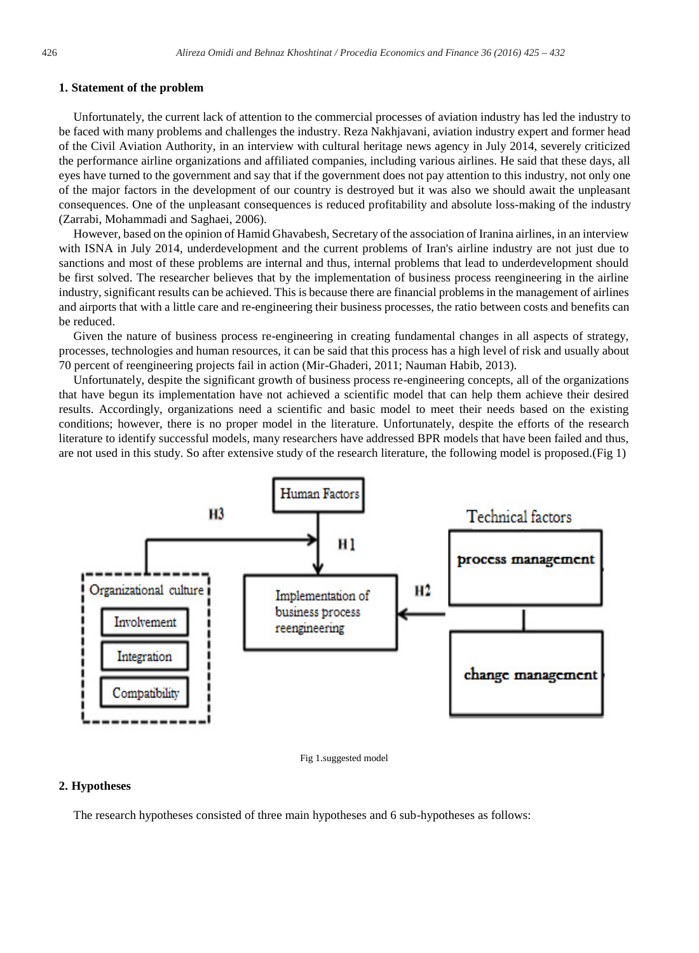# **1. Statement of the problem**

Unfortunately, the current lack of attention to the commercial processes of aviation industry has led the industry to be faced with many problems and challenges the industry. Reza Nakhjavani, aviation industry expert and former head of the Civil Aviation Authority, in an interview with cultural heritage news agency in July 2014, severely criticized the performance airline organizations and affiliated companies, including various airlines. He said that these days, all eyes have turned to the government and say that if the government does not pay attention to this industry, not only one of the major factors in the development of our country is destroyed but it was also we should await the unpleasant consequences. One of the unpleasant consequences is reduced profitability and absolute loss-making of the industry (Zarrabi, Mohammadi and Saghaei, 2006).

However, based on the opinion of Hamid Ghavabesh, Secretary of the association of Iranina airlines, in an interview with ISNA in July 2014, underdevelopment and the current problems of Iran's airline industry are not just due to sanctions and most of these problems are internal and thus, internal problems that lead to underdevelopment should be first solved. The researcher believes that by the implementation of business process reengineering in the airline industry, significant results can be achieved. This is because there are financial problems in the management of airlines and airports that with a little care and re-engineering their business processes, the ratio between costs and benefits can be reduced.

Given the nature of business process re-engineering in creating fundamental changes in all aspects of strategy, processes, technologies and human resources, it can be said that this process has a high level of risk and usually about 70 percent of reengineering projects fail in action (Mir-Ghaderi, 2011; Nauman Habib, 2013).

Unfortunately, despite the significant growth of business process re-engineering concepts, all of the organizations that have begun its implementation have not achieved a scientific model that can help them achieve their desired results. Accordingly, organizations need a scientific and basic model to meet their needs based on the existing conditions; however, there is no proper model in the literature. Unfortunately, despite the efforts of the research literature to identify successful models, many researchers have addressed BPR models that have been failed and thus, are not used in this study. So after extensive study of the research literature, the following model is proposed.(Fig 1)



#### Fig 1.suggested model

# **2. Hypotheses**

The research hypotheses consisted of three main hypotheses and 6 sub-hypotheses as follows: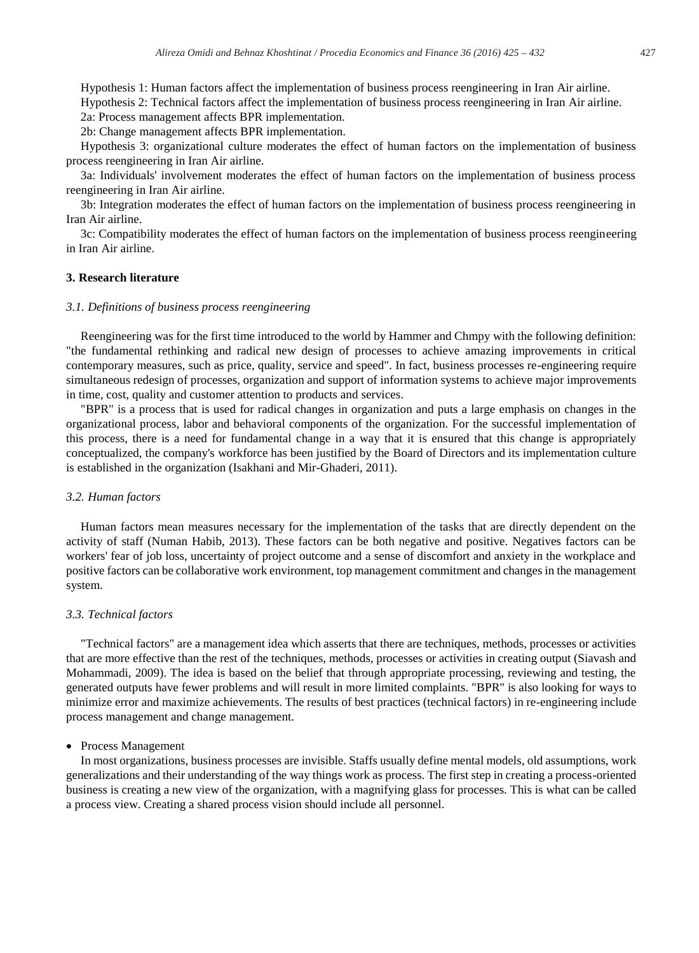Hypothesis 1: Human factors affect the implementation of business process reengineering in Iran Air airline. Hypothesis 2: Technical factors affect the implementation of business process reengineering in Iran Air airline. 2a: Process management affects BPR implementation.

2b: Change management affects BPR implementation.

Hypothesis 3: organizational culture moderates the effect of human factors on the implementation of business process reengineering in Iran Air airline.

3a: Individuals' involvement moderates the effect of human factors on the implementation of business process reengineering in Iran Air airline.

3b: Integration moderates the effect of human factors on the implementation of business process reengineering in Iran Air airline.

3c: Compatibility moderates the effect of human factors on the implementation of business process reengineering in Iran Air airline.

# **3. Research literature**

#### *3.1. Definitions of business process reengineering*

Reengineering was for the first time introduced to the world by Hammer and Chmpy with the following definition: "the fundamental rethinking and radical new design of processes to achieve amazing improvements in critical contemporary measures, such as price, quality, service and speed". In fact, business processes re-engineering require simultaneous redesign of processes, organization and support of information systems to achieve major improvements in time, cost, quality and customer attention to products and services.

"BPR" is a process that is used for radical changes in organization and puts a large emphasis on changes in the organizational process, labor and behavioral components of the organization. For the successful implementation of this process, there is a need for fundamental change in a way that it is ensured that this change is appropriately conceptualized, the company's workforce has been justified by the Board of Directors and its implementation culture is established in the organization (Isakhani and Mir-Ghaderi, 2011).

#### *3.2. Human factors*

Human factors mean measures necessary for the implementation of the tasks that are directly dependent on the activity of staff (Numan Habib, 2013). These factors can be both negative and positive. Negatives factors can be workers' fear of job loss, uncertainty of project outcome and a sense of discomfort and anxiety in the workplace and positive factors can be collaborative work environment, top management commitment and changes in the management system.

#### *3.3. Technical factors*

"Technical factors" are a management idea which asserts that there are techniques, methods, processes or activities that are more effective than the rest of the techniques, methods, processes or activities in creating output (Siavash and Mohammadi, 2009). The idea is based on the belief that through appropriate processing, reviewing and testing, the generated outputs have fewer problems and will result in more limited complaints. "BPR" is also looking for ways to minimize error and maximize achievements. The results of best practices (technical factors) in re-engineering include process management and change management.

#### • Process Management

In most organizations, business processes are invisible. Staffs usually define mental models, old assumptions, work generalizations and their understanding of the way things work as process. The first step in creating a process-oriented business is creating a new view of the organization, with a magnifying glass for processes. This is what can be called a process view. Creating a shared process vision should include all personnel.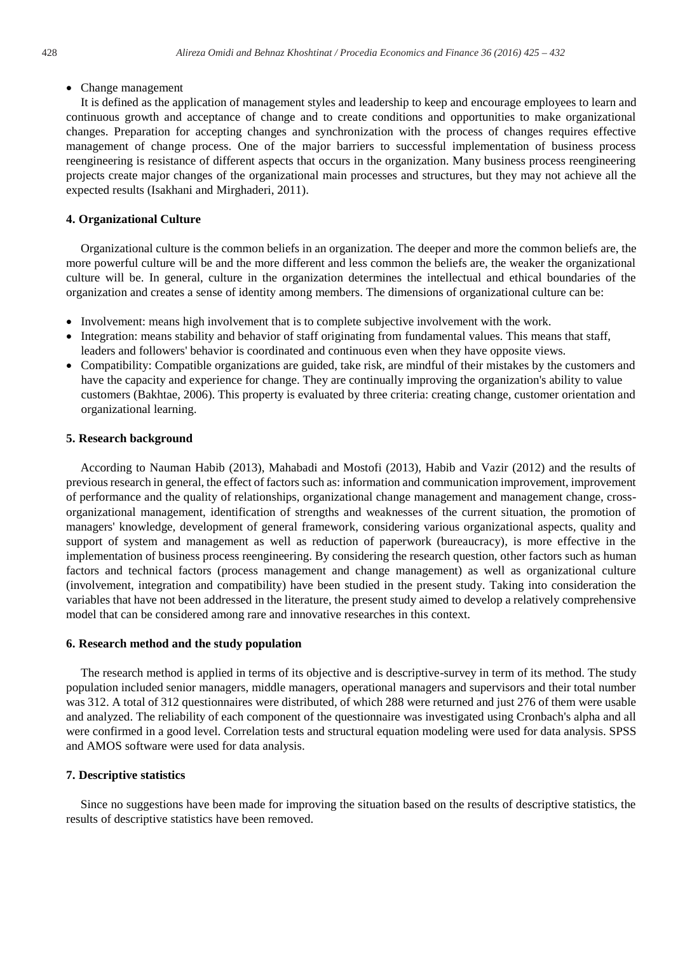#### • Change management

It is defined as the application of management styles and leadership to keep and encourage employees to learn and continuous growth and acceptance of change and to create conditions and opportunities to make organizational changes. Preparation for accepting changes and synchronization with the process of changes requires effective management of change process. One of the major barriers to successful implementation of business process reengineering is resistance of different aspects that occurs in the organization. Many business process reengineering projects create major changes of the organizational main processes and structures, but they may not achieve all the expected results (Isakhani and Mirghaderi, 2011).

# **4. Organizational Culture**

Organizational culture is the common beliefs in an organization. The deeper and more the common beliefs are, the more powerful culture will be and the more different and less common the beliefs are, the weaker the organizational culture will be. In general, culture in the organization determines the intellectual and ethical boundaries of the organization and creates a sense of identity among members. The dimensions of organizational culture can be:

- Involvement: means high involvement that is to complete subjective involvement with the work.
- Integration: means stability and behavior of staff originating from fundamental values. This means that staff, leaders and followers' behavior is coordinated and continuous even when they have opposite views.
- Compatibility: Compatible organizations are guided, take risk, are mindful of their mistakes by the customers and have the capacity and experience for change. They are continually improving the organization's ability to value customers (Bakhtae, 2006). This property is evaluated by three criteria: creating change, customer orientation and organizational learning.

# **5. Research background**

According to Nauman Habib (2013), Mahabadi and Mostofi (2013), Habib and Vazir (2012) and the results of previous research in general, the effect of factors such as: information and communication improvement, improvement of performance and the quality of relationships, organizational change management and management change, crossorganizational management, identification of strengths and weaknesses of the current situation, the promotion of managers' knowledge, development of general framework, considering various organizational aspects, quality and support of system and management as well as reduction of paperwork (bureaucracy), is more effective in the implementation of business process reengineering. By considering the research question, other factors such as human factors and technical factors (process management and change management) as well as organizational culture (involvement, integration and compatibility) have been studied in the present study. Taking into consideration the variables that have not been addressed in the literature, the present study aimed to develop a relatively comprehensive model that can be considered among rare and innovative researches in this context.

# **6. Research method and the study population**

The research method is applied in terms of its objective and is descriptive-survey in term of its method. The study population included senior managers, middle managers, operational managers and supervisors and their total number was 312. A total of 312 questionnaires were distributed, of which 288 were returned and just 276 of them were usable and analyzed. The reliability of each component of the questionnaire was investigated using Cronbach's alpha and all were confirmed in a good level. Correlation tests and structural equation modeling were used for data analysis. SPSS and AMOS software were used for data analysis.

#### **7. Descriptive statistics**

Since no suggestions have been made for improving the situation based on the results of descriptive statistics, the results of descriptive statistics have been removed.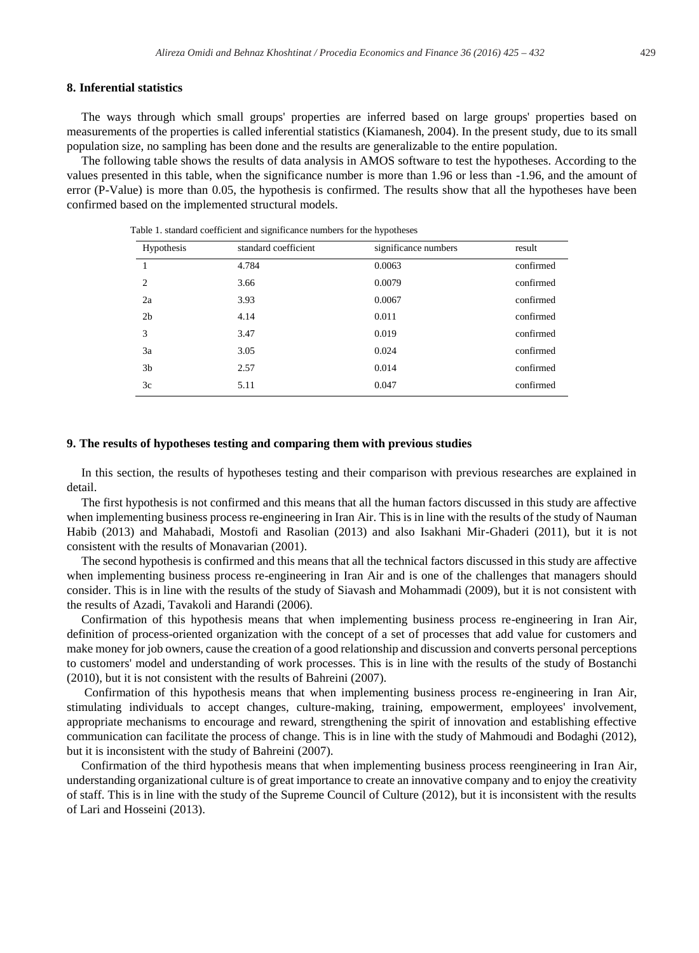# **8. Inferential statistics**

The ways through which small groups' properties are inferred based on large groups' properties based on measurements of the properties is called inferential statistics (Kiamanesh, 2004). In the present study, due to its small population size, no sampling has been done and the results are generalizable to the entire population.

The following table shows the results of data analysis in AMOS software to test the hypotheses. According to the values presented in this table, when the significance number is more than 1.96 or less than -1.96, and the amount of error (P-Value) is more than 0.05, the hypothesis is confirmed. The results show that all the hypotheses have been confirmed based on the implemented structural models.

| Hypothesis     | standard coefficient | significance numbers | result    |
|----------------|----------------------|----------------------|-----------|
| 1              | 4.784                | 0.0063               | confirmed |
| $\overline{c}$ | 3.66                 | 0.0079               | confirmed |
| 2a             | 3.93                 | 0.0067               | confirmed |
| 2 <sub>b</sub> | 4.14                 | 0.011                | confirmed |
| 3              | 3.47                 | 0.019                | confirmed |
| 3a             | 3.05                 | 0.024                | confirmed |
| 3b             | 2.57                 | 0.014                | confirmed |
| 3c             | 5.11                 | 0.047                | confirmed |

Table 1. standard coefficient and significance numbers for the hypotheses

#### **9. The results of hypotheses testing and comparing them with previous studies**

In this section, the results of hypotheses testing and their comparison with previous researches are explained in detail.

The first hypothesis is not confirmed and this means that all the human factors discussed in this study are affective when implementing business process re-engineering in Iran Air. This is in line with the results of the study of Nauman Habib (2013) and Mahabadi, Mostofi and Rasolian (2013) and also Isakhani Mir-Ghaderi (2011), but it is not consistent with the results of Monavarian (2001).

The second hypothesis is confirmed and this means that all the technical factors discussed in this study are affective when implementing business process re-engineering in Iran Air and is one of the challenges that managers should consider. This is in line with the results of the study of Siavash and Mohammadi (2009), but it is not consistent with the results of Azadi, Tavakoli and Harandi (2006).

Confirmation of this hypothesis means that when implementing business process re-engineering in Iran Air, definition of process-oriented organization with the concept of a set of processes that add value for customers and make money for job owners, cause the creation of a good relationship and discussion and converts personal perceptions to customers' model and understanding of work processes. This is in line with the results of the study of Bostanchi (2010), but it is not consistent with the results of Bahreini (2007).

Confirmation of this hypothesis means that when implementing business process re-engineering in Iran Air, stimulating individuals to accept changes, culture-making, training, empowerment, employees' involvement, appropriate mechanisms to encourage and reward, strengthening the spirit of innovation and establishing effective communication can facilitate the process of change. This is in line with the study of Mahmoudi and Bodaghi (2012), but it is inconsistent with the study of Bahreini (2007).

Confirmation of the third hypothesis means that when implementing business process reengineering in Iran Air, understanding organizational culture is of great importance to create an innovative company and to enjoy the creativity of staff. This is in line with the study of the Supreme Council of Culture (2012), but it is inconsistent with the results of Lari and Hosseini (2013).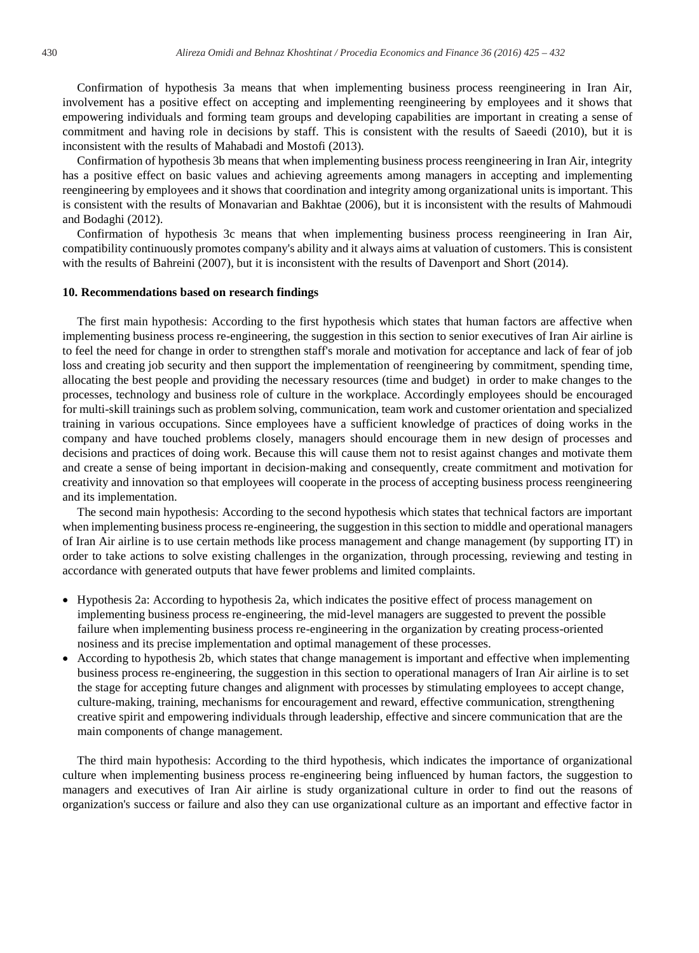Confirmation of hypothesis 3a means that when implementing business process reengineering in Iran Air, involvement has a positive effect on accepting and implementing reengineering by employees and it shows that empowering individuals and forming team groups and developing capabilities are important in creating a sense of commitment and having role in decisions by staff. This is consistent with the results of Saeedi (2010), but it is inconsistent with the results of Mahabadi and Mostofi (2013).

Confirmation of hypothesis 3b means that when implementing business process reengineering in Iran Air, integrity has a positive effect on basic values and achieving agreements among managers in accepting and implementing reengineering by employees and it shows that coordination and integrity among organizational units is important. This is consistent with the results of Monavarian and Bakhtae (2006), but it is inconsistent with the results of Mahmoudi and Bodaghi (2012).

Confirmation of hypothesis 3c means that when implementing business process reengineering in Iran Air, compatibility continuously promotes company's ability and it always aims at valuation of customers. This is consistent with the results of Bahreini (2007), but it is inconsistent with the results of Davenport and Short (2014).

#### **10. Recommendations based on research findings**

The first main hypothesis: According to the first hypothesis which states that human factors are affective when implementing business process re-engineering, the suggestion in this section to senior executives of Iran Air airline is to feel the need for change in order to strengthen staff's morale and motivation for acceptance and lack of fear of job loss and creating job security and then support the implementation of reengineering by commitment, spending time, allocating the best people and providing the necessary resources (time and budget) in order to make changes to the processes, technology and business role of culture in the workplace. Accordingly employees should be encouraged for multi-skill trainings such as problem solving, communication, team work and customer orientation and specialized training in various occupations. Since employees have a sufficient knowledge of practices of doing works in the company and have touched problems closely, managers should encourage them in new design of processes and decisions and practices of doing work. Because this will cause them not to resist against changes and motivate them and create a sense of being important in decision-making and consequently, create commitment and motivation for creativity and innovation so that employees will cooperate in the process of accepting business process reengineering and its implementation.

The second main hypothesis: According to the second hypothesis which states that technical factors are important when implementing business process re-engineering, the suggestion in this section to middle and operational managers of Iran Air airline is to use certain methods like process management and change management (by supporting IT) in order to take actions to solve existing challenges in the organization, through processing, reviewing and testing in accordance with generated outputs that have fewer problems and limited complaints.

- x Hypothesis 2a: According to hypothesis 2a, which indicates the positive effect of process management on implementing business process re-engineering, the mid-level managers are suggested to prevent the possible failure when implementing business process re-engineering in the organization by creating process-oriented nosiness and its precise implementation and optimal management of these processes.
- According to hypothesis 2b, which states that change management is important and effective when implementing business process re-engineering, the suggestion in this section to operational managers of Iran Air airline is to set the stage for accepting future changes and alignment with processes by stimulating employees to accept change, culture-making, training, mechanisms for encouragement and reward, effective communication, strengthening creative spirit and empowering individuals through leadership, effective and sincere communication that are the main components of change management.

The third main hypothesis: According to the third hypothesis, which indicates the importance of organizational culture when implementing business process re-engineering being influenced by human factors, the suggestion to managers and executives of Iran Air airline is study organizational culture in order to find out the reasons of organization's success or failure and also they can use organizational culture as an important and effective factor in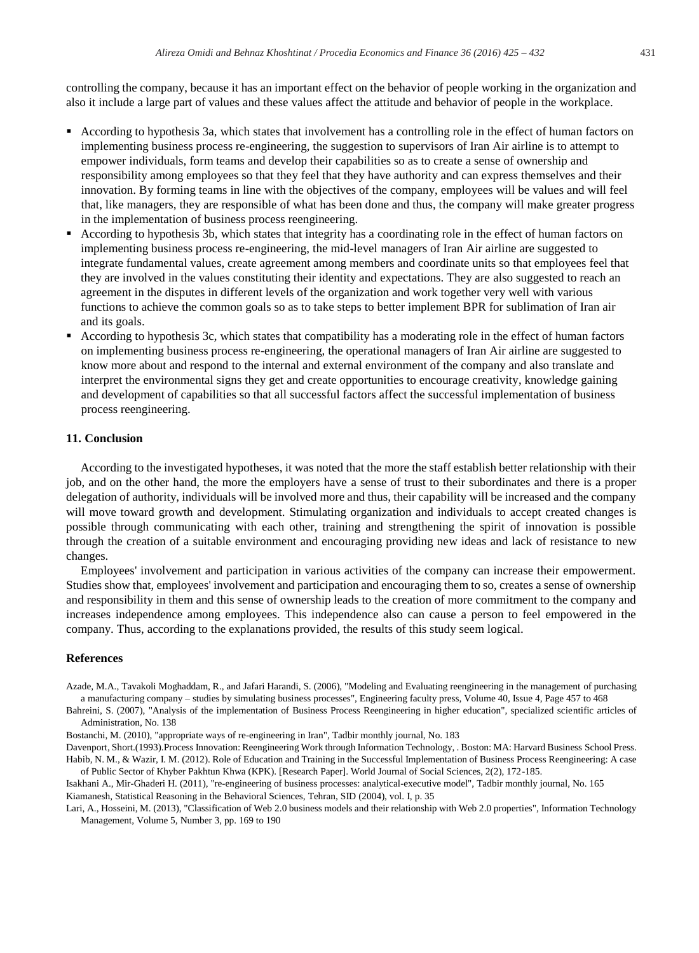controlling the company, because it has an important effect on the behavior of people working in the organization and also it include a large part of values and these values affect the attitude and behavior of people in the workplace.

- According to hypothesis 3a, which states that involvement has a controlling role in the effect of human factors on implementing business process re-engineering, the suggestion to supervisors of Iran Air airline is to attempt to empower individuals, form teams and develop their capabilities so as to create a sense of ownership and responsibility among employees so that they feel that they have authority and can express themselves and their innovation. By forming teams in line with the objectives of the company, employees will be values and will feel that, like managers, they are responsible of what has been done and thus, the company will make greater progress in the implementation of business process reengineering.
- According to hypothesis 3b, which states that integrity has a coordinating role in the effect of human factors on implementing business process re-engineering, the mid-level managers of Iran Air airline are suggested to integrate fundamental values, create agreement among members and coordinate units so that employees feel that they are involved in the values constituting their identity and expectations. They are also suggested to reach an agreement in the disputes in different levels of the organization and work together very well with various functions to achieve the common goals so as to take steps to better implement BPR for sublimation of Iran air and its goals.
- According to hypothesis 3c, which states that compatibility has a moderating role in the effect of human factors on implementing business process re-engineering, the operational managers of Iran Air airline are suggested to know more about and respond to the internal and external environment of the company and also translate and interpret the environmental signs they get and create opportunities to encourage creativity, knowledge gaining and development of capabilities so that all successful factors affect the successful implementation of business process reengineering.

# **11. Conclusion**

According to the investigated hypotheses, it was noted that the more the staff establish better relationship with their job, and on the other hand, the more the employers have a sense of trust to their subordinates and there is a proper delegation of authority, individuals will be involved more and thus, their capability will be increased and the company will move toward growth and development. Stimulating organization and individuals to accept created changes is possible through communicating with each other, training and strengthening the spirit of innovation is possible through the creation of a suitable environment and encouraging providing new ideas and lack of resistance to new changes.

Employees' involvement and participation in various activities of the company can increase their empowerment. Studies show that, employees' involvement and participation and encouraging them to so, creates a sense of ownership and responsibility in them and this sense of ownership leads to the creation of more commitment to the company and increases independence among employees. This independence also can cause a person to feel empowered in the company. Thus, according to the explanations provided, the results of this study seem logical.

# **References**

Azade, M.A., Tavakoli Moghaddam, R., and Jafari Harandi, S. (2006), "Modeling and Evaluating reengineering in the management of purchasing a manufacturing company – studies by simulating business processes", Engineering faculty press, Volume 40, Issue 4, Page 457 to 468

Bahreini, S. (2007), "Analysis of the implementation of Business Process Reengineering in higher education", specialized scientific articles of Administration, No. 138

Bostanchi, M. (2010), "appropriate ways of re-engineering in Iran", Tadbir monthly journal, No. 183

Davenport, Short.(1993).Process Innovation: Reengineering Work through Information Technology, . Boston: MA: Harvard Business School Press. Habib, N. M., & Wazir, I. M. (2012). Role of Education and Training in the Successful Implementation of Business Process Reengineering: A case of Public Sector of Khyber Pakhtun Khwa (KPK). [Research Paper]. World Journal of Social Sciences, 2(2), 172-185.

Isakhani A., Mir-Ghaderi H. (2011), "re-engineering of business processes: analytical-executive model", Tadbir monthly journal, No. 165 Kiamanesh, Statistical Reasoning in the Behavioral Sciences, Tehran, SID (2004), vol. I, p. 35

Lari, A., Hosseini, M. (2013), "Classification of Web 2.0 business models and their relationship with Web 2.0 properties", Information Technology Management, Volume 5, Number 3, pp. 169 to 190